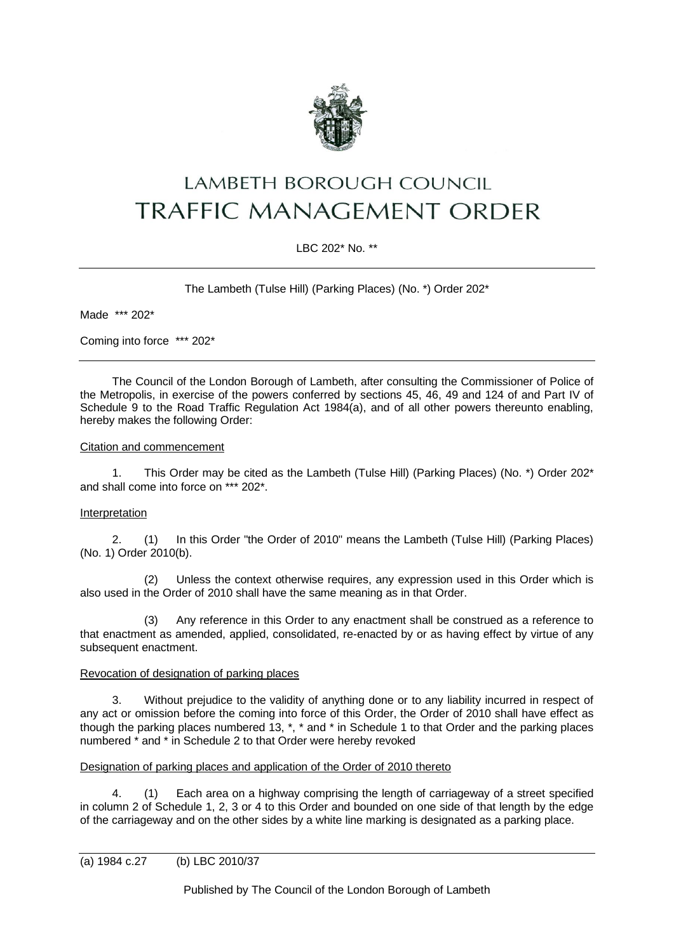

# LAMBETH BOROUGH COUNCIL **TRAFFIC MANAGEMENT ORDER**

# LBC 202\* No. \*\*

The Lambeth (Tulse Hill) (Parking Places) (No. \*) Order 202\*

Made \*\*\* 202\*

Coming into force \*\*\* 202\*

The Council of the London Borough of Lambeth, after consulting the Commissioner of Police of the Metropolis, in exercise of the powers conferred by sections 45, 46, 49 and 124 of and Part IV of Schedule 9 to the Road Traffic Regulation Act 1984(a), and of all other powers thereunto enabling, hereby makes the following Order:

#### Citation and commencement

1. This Order may be cited as the Lambeth (Tulse Hill) (Parking Places) (No. \*) Order 202\* and shall come into force on \*\*\* 202\*.

## **Interpretation**

2. (1) In this Order "the Order of 2010" means the Lambeth (Tulse Hill) (Parking Places) (No. 1) Order 2010(b).

(2) Unless the context otherwise requires, any expression used in this Order which is also used in the Order of 2010 shall have the same meaning as in that Order.

(3) Any reference in this Order to any enactment shall be construed as a reference to that enactment as amended, applied, consolidated, re-enacted by or as having effect by virtue of any subsequent enactment.

### Revocation of designation of parking places

3. Without prejudice to the validity of anything done or to any liability incurred in respect of any act or omission before the coming into force of this Order, the Order of 2010 shall have effect as though the parking places numbered 13, \*, \* and \* in Schedule 1 to that Order and the parking places numbered \* and \* in Schedule 2 to that Order were hereby revoked

#### Designation of parking places and application of the Order of 2010 thereto

4. (1) Each area on a highway comprising the length of carriageway of a street specified in column 2 of Schedule 1, 2, 3 or 4 to this Order and bounded on one side of that length by the edge of the carriageway and on the other sides by a white line marking is designated as a parking place.

Published by The Council of the London Borough of Lambeth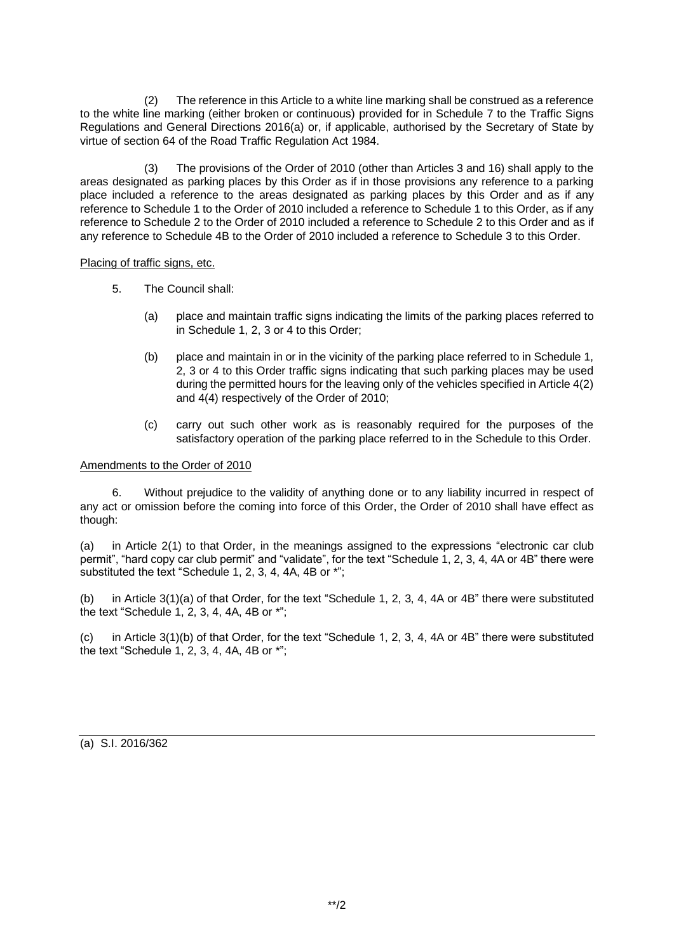(2) The reference in this Article to a white line marking shall be construed as a reference to the white line marking (either broken or continuous) provided for in Schedule 7 to the Traffic Signs Regulations and General Directions 2016(a) or, if applicable, authorised by the Secretary of State by virtue of section 64 of the Road Traffic Regulation Act 1984.

(3) The provisions of the Order of 2010 (other than Articles 3 and 16) shall apply to the areas designated as parking places by this Order as if in those provisions any reference to a parking place included a reference to the areas designated as parking places by this Order and as if any reference to Schedule 1 to the Order of 2010 included a reference to Schedule 1 to this Order, as if any reference to Schedule 2 to the Order of 2010 included a reference to Schedule 2 to this Order and as if any reference to Schedule 4B to the Order of 2010 included a reference to Schedule 3 to this Order.

Placing of traffic signs, etc.

- 5. The Council shall:
	- (a) place and maintain traffic signs indicating the limits of the parking places referred to in Schedule 1, 2, 3 or 4 to this Order;
	- (b) place and maintain in or in the vicinity of the parking place referred to in Schedule 1, 2, 3 or 4 to this Order traffic signs indicating that such parking places may be used during the permitted hours for the leaving only of the vehicles specified in Article 4(2) and 4(4) respectively of the Order of 2010;
	- (c) carry out such other work as is reasonably required for the purposes of the satisfactory operation of the parking place referred to in the Schedule to this Order.

#### Amendments to the Order of 2010

6. Without prejudice to the validity of anything done or to any liability incurred in respect of any act or omission before the coming into force of this Order, the Order of 2010 shall have effect as though:

(a) in Article 2(1) to that Order, in the meanings assigned to the expressions "electronic car club permit", "hard copy car club permit" and "validate", for the text "Schedule 1, 2, 3, 4, 4A or 4B" there were substituted the text "Schedule 1, 2, 3, 4, 4A, 4B or \*";

(b) in Article 3(1)(a) of that Order, for the text "Schedule 1, 2, 3, 4, 4A or 4B" there were substituted the text "Schedule 1, 2, 3, 4, 4A, 4B or \*";

(c) in Article 3(1)(b) of that Order, for the text "Schedule 1, 2, 3, 4, 4A or 4B" there were substituted the text "Schedule 1, 2, 3, 4, 4A, 4B or \*";

(a) S.I. 2016/362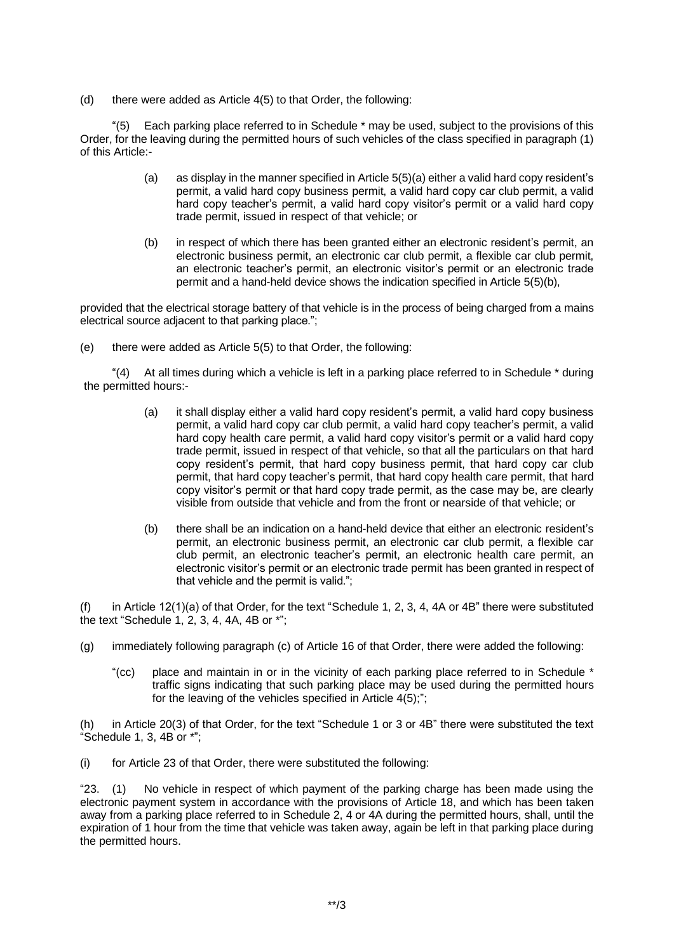(d) there were added as Article 4(5) to that Order, the following:

"(5) Each parking place referred to in Schedule \* may be used, subject to the provisions of this Order, for the leaving during the permitted hours of such vehicles of the class specified in paragraph (1) of this Article:-

- (a) as display in the manner specified in Article 5(5)(a) either a valid hard copy resident's permit, a valid hard copy business permit, a valid hard copy car club permit, a valid hard copy teacher's permit, a valid hard copy visitor's permit or a valid hard copy trade permit, issued in respect of that vehicle; or
- (b) in respect of which there has been granted either an electronic resident's permit, an electronic business permit, an electronic car club permit, a flexible car club permit, an electronic teacher's permit, an electronic visitor's permit or an electronic trade permit and a hand-held device shows the indication specified in Article 5(5)(b),

provided that the electrical storage battery of that vehicle is in the process of being charged from a mains electrical source adjacent to that parking place.";

(e) there were added as Article 5(5) to that Order, the following:

"(4) At all times during which a vehicle is left in a parking place referred to in Schedule \* during the permitted hours:-

- (a) it shall display either a valid hard copy resident's permit, a valid hard copy business permit, a valid hard copy car club permit, a valid hard copy teacher's permit, a valid hard copy health care permit, a valid hard copy visitor's permit or a valid hard copy trade permit, issued in respect of that vehicle, so that all the particulars on that hard copy resident's permit, that hard copy business permit, that hard copy car club permit, that hard copy teacher's permit, that hard copy health care permit, that hard copy visitor's permit or that hard copy trade permit, as the case may be, are clearly visible from outside that vehicle and from the front or nearside of that vehicle; or
- (b) there shall be an indication on a hand-held device that either an electronic resident's permit, an electronic business permit, an electronic car club permit, a flexible car club permit, an electronic teacher's permit, an electronic health care permit, an electronic visitor's permit or an electronic trade permit has been granted in respect of that vehicle and the permit is valid.";

(f) in Article 12(1)(a) of that Order, for the text "Schedule 1, 2, 3, 4, 4A or 4B" there were substituted the text "Schedule 1, 2, 3, 4, 4A, 4B or \*";

- (g) immediately following paragraph (c) of Article 16 of that Order, there were added the following:
	- "(cc) place and maintain in or in the vicinity of each parking place referred to in Schedule \* traffic signs indicating that such parking place may be used during the permitted hours for the leaving of the vehicles specified in Article 4(5);";

(h) in Article 20(3) of that Order, for the text "Schedule 1 or 3 or 4B" there were substituted the text "Schedule 1, 3,  $4B$  or  $*$ ";

(i) for Article 23 of that Order, there were substituted the following:

"23. (1) No vehicle in respect of which payment of the parking charge has been made using the electronic payment system in accordance with the provisions of Article 18, and which has been taken away from a parking place referred to in Schedule 2, 4 or 4A during the permitted hours, shall, until the expiration of 1 hour from the time that vehicle was taken away, again be left in that parking place during the permitted hours.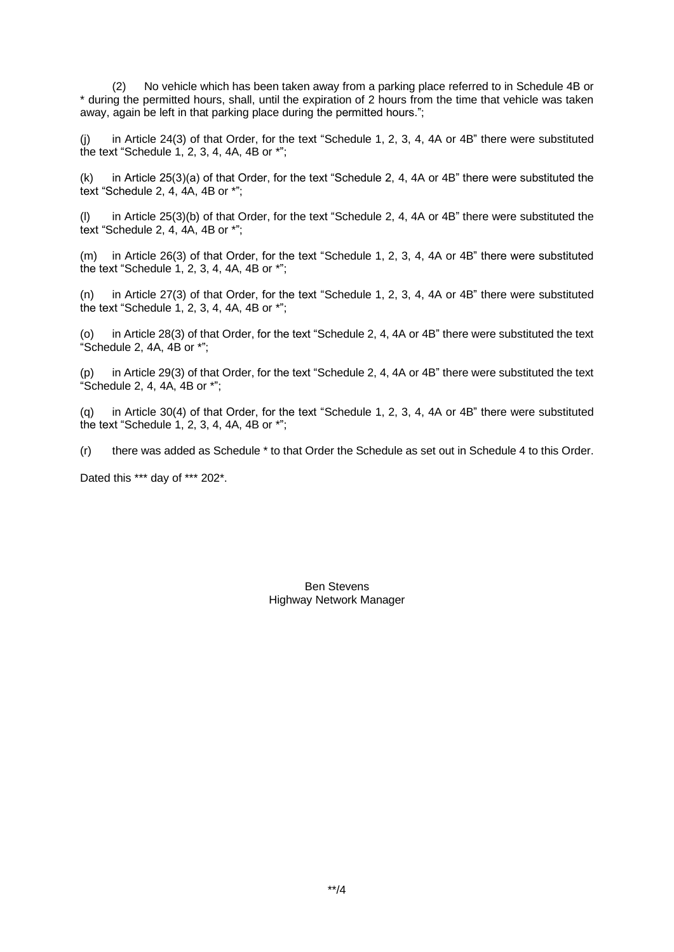(2) No vehicle which has been taken away from a parking place referred to in Schedule 4B or \* during the permitted hours, shall, until the expiration of 2 hours from the time that vehicle was taken away, again be left in that parking place during the permitted hours.";

(j) in Article 24(3) of that Order, for the text "Schedule 1, 2, 3, 4, 4A or 4B" there were substituted the text "Schedule 1, 2, 3, 4, 4A, 4B or \*";

(k) in Article 25(3)(a) of that Order, for the text "Schedule 2, 4, 4A or 4B" there were substituted the text "Schedule 2, 4, 4A, 4B or \*";

(l) in Article 25(3)(b) of that Order, for the text "Schedule 2, 4, 4A or 4B" there were substituted the text "Schedule 2, 4, 4A, 4B or \*";

(m) in Article 26(3) of that Order, for the text "Schedule 1, 2, 3, 4, 4A or 4B" there were substituted the text "Schedule 1, 2, 3, 4, 4A, 4B or \*";

(n) in Article 27(3) of that Order, for the text "Schedule 1, 2, 3, 4, 4A or 4B" there were substituted the text "Schedule 1, 2, 3, 4, 4A, 4B or \*";

(o) in Article 28(3) of that Order, for the text "Schedule 2, 4, 4A or 4B" there were substituted the text "Schedule 2, 4A, 4B or \*";

(p) in Article 29(3) of that Order, for the text "Schedule 2, 4, 4A or 4B" there were substituted the text "Schedule 2, 4, 4A, 4B or \*";

(q) in Article 30(4) of that Order, for the text "Schedule 1, 2, 3, 4, 4A or 4B" there were substituted the text "Schedule 1, 2, 3, 4, 4A, 4B or \*";

(r) there was added as Schedule \* to that Order the Schedule as set out in Schedule 4 to this Order.

Dated this \*\*\* day of \*\*\* 202\*.

Ben Stevens Highway Network Manager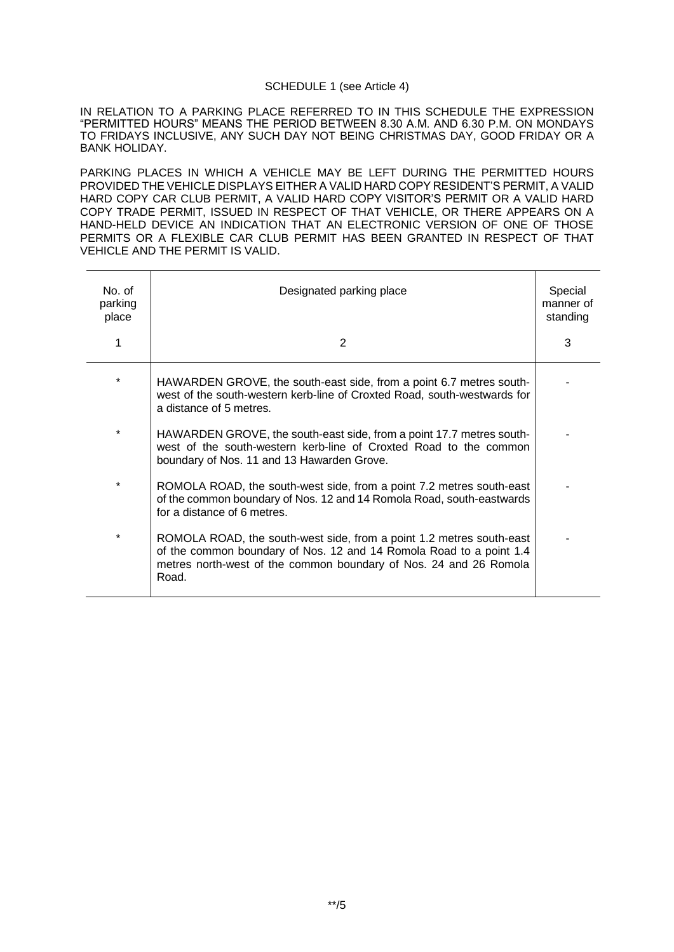#### SCHEDULE 1 (see Article 4)

IN RELATION TO A PARKING PLACE REFERRED TO IN THIS SCHEDULE THE EXPRESSION "PERMITTED HOURS" MEANS THE PERIOD BETWEEN 8.30 A.M. AND 6.30 P.M. ON MONDAYS TO FRIDAYS INCLUSIVE, ANY SUCH DAY NOT BEING CHRISTMAS DAY, GOOD FRIDAY OR A BANK HOLIDAY.

PARKING PLACES IN WHICH A VEHICLE MAY BE LEFT DURING THE PERMITTED HOURS PROVIDED THE VEHICLE DISPLAYS EITHER A VALID HARD COPY RESIDENT'S PERMIT, A VALID HARD COPY CAR CLUB PERMIT, A VALID HARD COPY VISITOR'S PERMIT OR A VALID HARD COPY TRADE PERMIT, ISSUED IN RESPECT OF THAT VEHICLE, OR THERE APPEARS ON A HAND-HELD DEVICE AN INDICATION THAT AN ELECTRONIC VERSION OF ONE OF THOSE PERMITS OR A FLEXIBLE CAR CLUB PERMIT HAS BEEN GRANTED IN RESPECT OF THAT VEHICLE AND THE PERMIT IS VALID.

| No of<br>parking<br>place | Designated parking place<br>2                                                                                                                                                                                             | Special<br>manner of<br>standing<br>3 |
|---------------------------|---------------------------------------------------------------------------------------------------------------------------------------------------------------------------------------------------------------------------|---------------------------------------|
| $\star$                   | HAWARDEN GROVE, the south-east side, from a point 6.7 metres south-<br>west of the south-western kerb-line of Croxted Road, south-westwards for<br>a distance of 5 metres.                                                |                                       |
| $\star$                   | HAWARDEN GROVE, the south-east side, from a point 17.7 metres south-<br>west of the south-western kerb-line of Croxted Road to the common<br>boundary of Nos. 11 and 13 Hawarden Grove.                                   |                                       |
| *                         | ROMOLA ROAD, the south-west side, from a point 7.2 metres south-east<br>of the common boundary of Nos. 12 and 14 Romola Road, south-eastwards<br>for a distance of 6 metres.                                              |                                       |
| *                         | ROMOLA ROAD, the south-west side, from a point 1.2 metres south-east<br>of the common boundary of Nos. 12 and 14 Romola Road to a point 1.4<br>metres north-west of the common boundary of Nos. 24 and 26 Romola<br>Road. |                                       |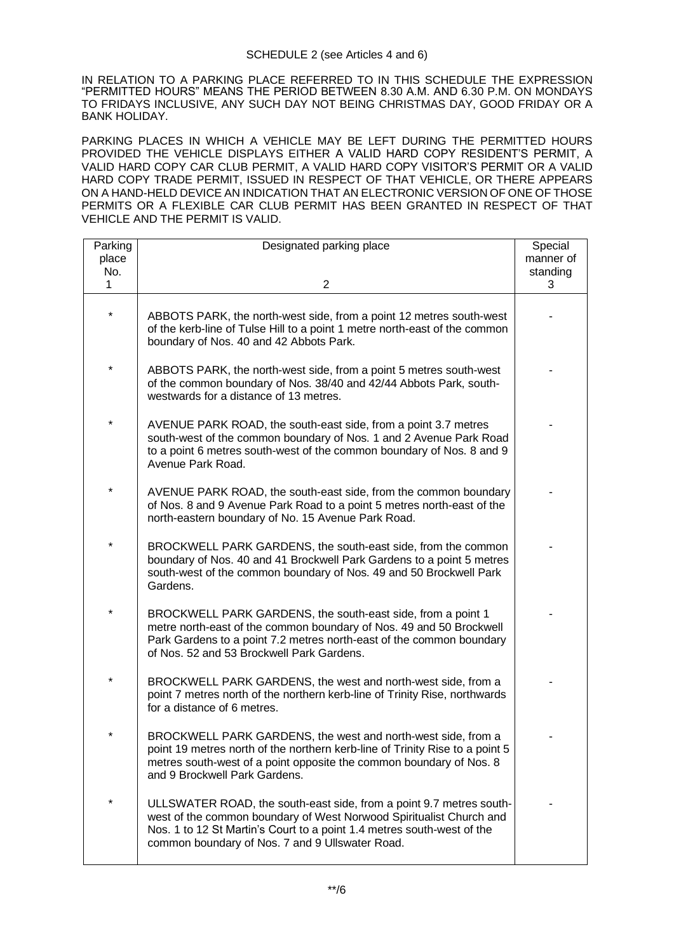IN RELATION TO A PARKING PLACE REFERRED TO IN THIS SCHEDULE THE EXPRESSION "PERMITTED HOURS" MEANS THE PERIOD BETWEEN 8.30 A.M. AND 6.30 P.M. ON MONDAYS TO FRIDAYS INCLUSIVE, ANY SUCH DAY NOT BEING CHRISTMAS DAY, GOOD FRIDAY OR A BANK HOLIDAY.

PARKING PLACES IN WHICH A VEHICLE MAY BE LEFT DURING THE PERMITTED HOURS PROVIDED THE VEHICLE DISPLAYS EITHER A VALID HARD COPY RESIDENT'S PERMIT, A VALID HARD COPY CAR CLUB PERMIT, A VALID HARD COPY VISITOR'S PERMIT OR A VALID HARD COPY TRADE PERMIT, ISSUED IN RESPECT OF THAT VEHICLE, OR THERE APPEARS ON A HAND-HELD DEVICE AN INDICATION THAT AN ELECTRONIC VERSION OF ONE OF THOSE PERMITS OR A FLEXIBLE CAR CLUB PERMIT HAS BEEN GRANTED IN RESPECT OF THAT VEHICLE AND THE PERMIT IS VALID.

| Parking | Designated parking place                                                                                                                                                                                                                                                | Special   |
|---------|-------------------------------------------------------------------------------------------------------------------------------------------------------------------------------------------------------------------------------------------------------------------------|-----------|
| place   |                                                                                                                                                                                                                                                                         | manner of |
| No.     |                                                                                                                                                                                                                                                                         | standing  |
| 1       | $\overline{2}$                                                                                                                                                                                                                                                          | 3         |
| *       | ABBOTS PARK, the north-west side, from a point 12 metres south-west<br>of the kerb-line of Tulse Hill to a point 1 metre north-east of the common<br>boundary of Nos. 40 and 42 Abbots Park.                                                                            |           |
| *       | ABBOTS PARK, the north-west side, from a point 5 metres south-west<br>of the common boundary of Nos. 38/40 and 42/44 Abbots Park, south-<br>westwards for a distance of 13 metres.                                                                                      |           |
| *       | AVENUE PARK ROAD, the south-east side, from a point 3.7 metres<br>south-west of the common boundary of Nos. 1 and 2 Avenue Park Road<br>to a point 6 metres south-west of the common boundary of Nos. 8 and 9<br>Avenue Park Road.                                      |           |
| *       | AVENUE PARK ROAD, the south-east side, from the common boundary<br>of Nos. 8 and 9 Avenue Park Road to a point 5 metres north-east of the<br>north-eastern boundary of No. 15 Avenue Park Road.                                                                         |           |
| *       | BROCKWELL PARK GARDENS, the south-east side, from the common<br>boundary of Nos. 40 and 41 Brockwell Park Gardens to a point 5 metres<br>south-west of the common boundary of Nos. 49 and 50 Brockwell Park<br>Gardens.                                                 |           |
|         | BROCKWELL PARK GARDENS, the south-east side, from a point 1<br>metre north-east of the common boundary of Nos. 49 and 50 Brockwell<br>Park Gardens to a point 7.2 metres north-east of the common boundary<br>of Nos. 52 and 53 Brockwell Park Gardens.                 |           |
| *       | BROCKWELL PARK GARDENS, the west and north-west side, from a<br>point 7 metres north of the northern kerb-line of Trinity Rise, northwards<br>for a distance of 6 metres.                                                                                               |           |
|         | BROCKWELL PARK GARDENS, the west and north-west side, from a<br>point 19 metres north of the northern kerb-line of Trinity Rise to a point 5<br>metres south-west of a point opposite the common boundary of Nos. 8<br>and 9 Brockwell Park Gardens.                    |           |
| $\star$ | ULLSWATER ROAD, the south-east side, from a point 9.7 metres south-<br>west of the common boundary of West Norwood Spiritualist Church and<br>Nos. 1 to 12 St Martin's Court to a point 1.4 metres south-west of the<br>common boundary of Nos. 7 and 9 Ullswater Road. |           |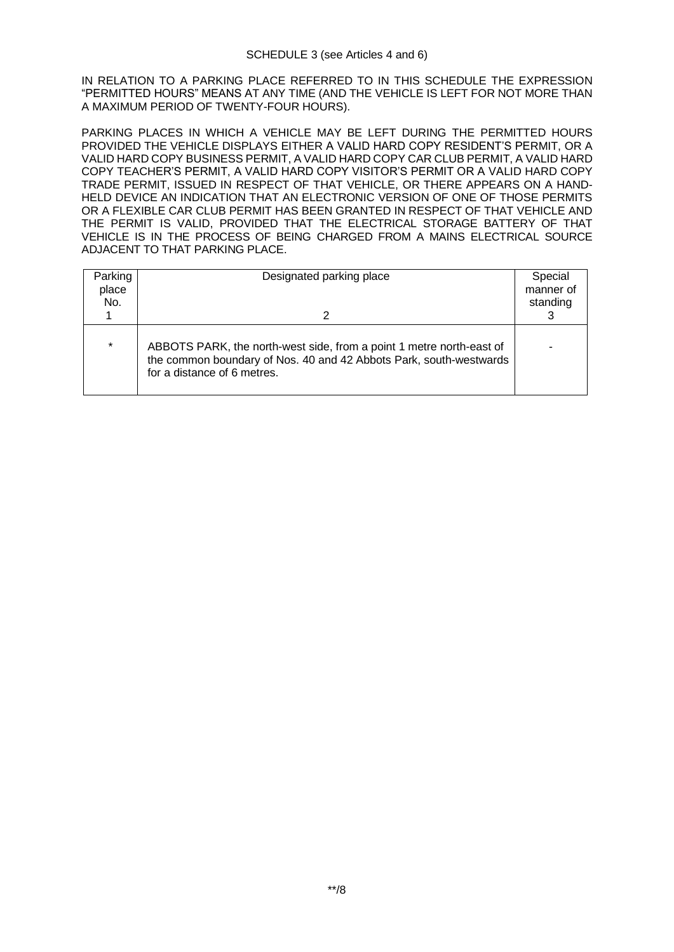IN RELATION TO A PARKING PLACE REFERRED TO IN THIS SCHEDULE THE EXPRESSION "PERMITTED HOURS" MEANS AT ANY TIME (AND THE VEHICLE IS LEFT FOR NOT MORE THAN A MAXIMUM PERIOD OF TWENTY-FOUR HOURS).

PARKING PLACES IN WHICH A VEHICLE MAY BE LEFT DURING THE PERMITTED HOURS PROVIDED THE VEHICLE DISPLAYS EITHER A VALID HARD COPY RESIDENT'S PERMIT, OR A VALID HARD COPY BUSINESS PERMIT, A VALID HARD COPY CAR CLUB PERMIT, A VALID HARD COPY TEACHER'S PERMIT, A VALID HARD COPY VISITOR'S PERMIT OR A VALID HARD COPY TRADE PERMIT, ISSUED IN RESPECT OF THAT VEHICLE, OR THERE APPEARS ON A HAND-HELD DEVICE AN INDICATION THAT AN ELECTRONIC VERSION OF ONE OF THOSE PERMITS OR A FLEXIBLE CAR CLUB PERMIT HAS BEEN GRANTED IN RESPECT OF THAT VEHICLE AND THE PERMIT IS VALID, PROVIDED THAT THE ELECTRICAL STORAGE BATTERY OF THAT VEHICLE IS IN THE PROCESS OF BEING CHARGED FROM A MAINS ELECTRICAL SOURCE ADJACENT TO THAT PARKING PLACE.

| Parking<br>place<br>No. | Designated parking place<br>2                                                                                                                                             | Special<br>manner of<br>standing |
|-------------------------|---------------------------------------------------------------------------------------------------------------------------------------------------------------------------|----------------------------------|
| $\star$                 | ABBOTS PARK, the north-west side, from a point 1 metre north-east of<br>the common boundary of Nos. 40 and 42 Abbots Park, south-westwards<br>for a distance of 6 metres. |                                  |